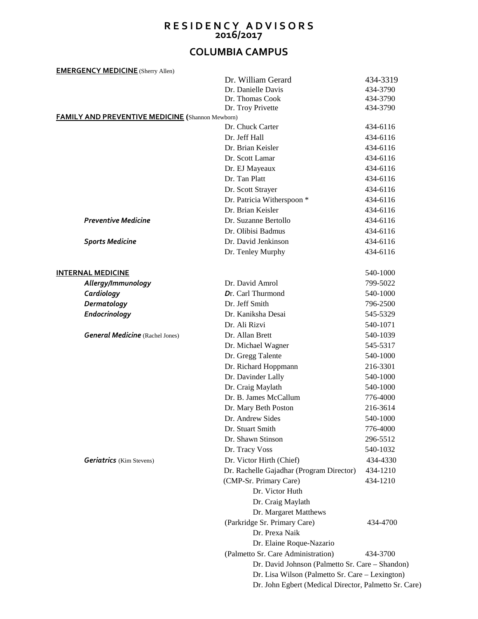## **R E S I D E N C Y A D V I S O R S 2016/2017**

## **COLUMBIA CAMPUS**

| <b>EMERGENCY MEDICINE</b> (Sherry Allen)                |                                                       |          |  |
|---------------------------------------------------------|-------------------------------------------------------|----------|--|
|                                                         | Dr. William Gerard                                    | 434-3319 |  |
|                                                         | Dr. Danielle Davis                                    | 434-3790 |  |
|                                                         | Dr. Thomas Cook                                       | 434-3790 |  |
|                                                         | Dr. Troy Privette                                     | 434-3790 |  |
| <b>FAMILY AND PREVENTIVE MEDICINE</b> (Shannon Mewborn) |                                                       |          |  |
|                                                         | Dr. Chuck Carter                                      | 434-6116 |  |
|                                                         | Dr. Jeff Hall                                         | 434-6116 |  |
|                                                         | Dr. Brian Keisler                                     | 434-6116 |  |
|                                                         | Dr. Scott Lamar                                       | 434-6116 |  |
|                                                         | Dr. EJ Mayeaux                                        | 434-6116 |  |
|                                                         | Dr. Tan Platt                                         | 434-6116 |  |
|                                                         | Dr. Scott Strayer                                     | 434-6116 |  |
|                                                         | Dr. Patricia Witherspoon *                            | 434-6116 |  |
|                                                         | Dr. Brian Keisler                                     | 434-6116 |  |
| <b>Preventive Medicine</b>                              | Dr. Suzanne Bertollo                                  | 434-6116 |  |
|                                                         | Dr. Olibisi Badmus                                    | 434-6116 |  |
| <b>Sports Medicine</b>                                  | Dr. David Jenkinson                                   | 434-6116 |  |
|                                                         | Dr. Tenley Murphy                                     | 434-6116 |  |
| <b>INTERNAL MEDICINE</b>                                |                                                       | 540-1000 |  |
| Allergy/Immunology                                      | Dr. David Amrol                                       | 799-5022 |  |
| Cardiology                                              | Dr. Carl Thurmond                                     | 540-1000 |  |
| Dermatology                                             | Dr. Jeff Smith                                        | 796-2500 |  |
| Endocrinology                                           | Dr. Kaniksha Desai                                    | 545-5329 |  |
|                                                         | Dr. Ali Rizvi                                         | 540-1071 |  |
| <b>General Medicine</b> (Rachel Jones)                  | Dr. Allan Brett                                       | 540-1039 |  |
|                                                         | Dr. Michael Wagner                                    | 545-5317 |  |
|                                                         | Dr. Gregg Talente                                     | 540-1000 |  |
|                                                         | Dr. Richard Hoppmann                                  | 216-3301 |  |
|                                                         | Dr. Davinder Lally                                    | 540-1000 |  |
|                                                         | Dr. Craig Maylath                                     | 540-1000 |  |
|                                                         | Dr. B. James McCallum                                 | 776-4000 |  |
|                                                         | Dr. Mary Beth Poston                                  | 216-3614 |  |
|                                                         | Dr. Andrew Sides                                      | 540-1000 |  |
|                                                         | Dr. Stuart Smith                                      | 776-4000 |  |
|                                                         | Dr. Shawn Stinson                                     | 296-5512 |  |
|                                                         | Dr. Tracy Voss                                        | 540-1032 |  |
| <b>Geriatrics</b> (Kim Stevens)                         | Dr. Victor Hirth (Chief)                              | 434-4330 |  |
|                                                         | Dr. Rachelle Gajadhar (Program Director)              | 434-1210 |  |
|                                                         | (CMP-Sr. Primary Care)                                | 434-1210 |  |
|                                                         | Dr. Victor Huth                                       |          |  |
|                                                         | Dr. Craig Maylath                                     |          |  |
|                                                         | Dr. Margaret Matthews                                 |          |  |
|                                                         | (Parkridge Sr. Primary Care)                          | 434-4700 |  |
|                                                         | Dr. Prexa Naik                                        |          |  |
|                                                         | Dr. Elaine Roque-Nazario                              |          |  |
|                                                         | (Palmetto Sr. Care Administration)                    | 434-3700 |  |
|                                                         | Dr. David Johnson (Palmetto Sr. Care - Shandon)       |          |  |
|                                                         | Dr. Lisa Wilson (Palmetto Sr. Care – Lexington)       |          |  |
|                                                         | Dr. John Egbert (Medical Director, Palmetto Sr. Care) |          |  |
|                                                         |                                                       |          |  |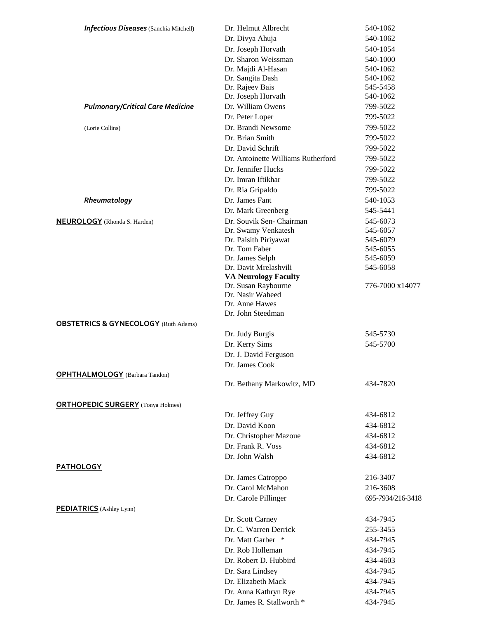| <b>Infectious Diseases</b> (Sanchia Mitchell)   | Dr. Helmut Albrecht                       | 540-1062          |
|-------------------------------------------------|-------------------------------------------|-------------------|
|                                                 | Dr. Divya Ahuja                           | 540-1062          |
|                                                 | Dr. Joseph Horvath                        | 540-1054          |
|                                                 | Dr. Sharon Weissman                       | 540-1000          |
|                                                 | Dr. Majdi Al-Hasan                        | 540-1062          |
|                                                 | Dr. Sangita Dash                          | 540-1062          |
|                                                 | Dr. Rajeev Bais                           | 545-5458          |
|                                                 | Dr. Joseph Horvath                        | 540-1062          |
| <b>Pulmonary/Critical Care Medicine</b>         | Dr. William Owens                         | 799-5022          |
|                                                 | Dr. Peter Loper                           | 799-5022          |
| (Lorie Collins)                                 | Dr. Brandi Newsome                        | 799-5022          |
|                                                 | Dr. Brian Smith                           | 799-5022          |
|                                                 | Dr. David Schrift                         | 799-5022          |
|                                                 | Dr. Antoinette Williams Rutherford        | 799-5022          |
|                                                 | Dr. Jennifer Hucks                        | 799-5022          |
|                                                 | Dr. Imran Iftikhar                        | 799-5022          |
|                                                 | Dr. Ria Gripaldo                          | 799-5022          |
| Rheumatology                                    | Dr. James Fant                            | 540-1053          |
|                                                 | Dr. Mark Greenberg                        | 545-5441          |
| <b>NEUROLOGY</b> (Rhonda S. Harden)             | Dr. Souvik Sen- Chairman                  | 545-6073          |
|                                                 | Dr. Swamy Venkatesh                       | 545-6057          |
|                                                 | Dr. Paisith Piriyawat                     | 545-6079          |
|                                                 | Dr. Tom Faber                             | 545-6055          |
|                                                 | Dr. James Selph                           | 545-6059          |
|                                                 | Dr. Davit Mrelashvili                     | 545-6058          |
|                                                 | <b>VA Neurology Faculty</b>               |                   |
|                                                 | Dr. Susan Raybourne<br>Dr. Nasir Waheed   | 776-7000 x14077   |
|                                                 | Dr. Anne Hawes                            |                   |
|                                                 | Dr. John Steedman                         |                   |
| <b>OBSTETRICS &amp; GYNECOLOGY</b> (Ruth Adams) |                                           |                   |
|                                                 | Dr. Judy Burgis                           | 545-5730          |
|                                                 | Dr. Kerry Sims                            | 545-5700          |
|                                                 | Dr. J. David Ferguson                     |                   |
|                                                 | Dr. James Cook                            |                   |
| <b>OPHTHALMOLOGY</b> (Barbara Tandon)           |                                           |                   |
|                                                 | Dr. Bethany Markowitz, MD                 | 434-7820          |
|                                                 |                                           |                   |
| <b>ORTHOPEDIC SURGERY</b> (Tonya Holmes)        |                                           |                   |
|                                                 | Dr. Jeffrey Guy                           | 434-6812          |
|                                                 | Dr. David Koon                            | 434-6812          |
|                                                 | Dr. Christopher Mazoue                    | 434-6812          |
|                                                 | Dr. Frank R. Voss                         | 434-6812          |
|                                                 | Dr. John Walsh                            | 434-6812          |
| <b>PATHOLOGY</b>                                |                                           |                   |
|                                                 | Dr. James Catroppo                        | 216-3407          |
|                                                 | Dr. Carol McMahon                         | 216-3608          |
|                                                 | Dr. Carole Pillinger                      | 695-7934/216-3418 |
| <b>PEDIATRICS</b> (Ashley Lynn)                 |                                           |                   |
|                                                 | Dr. Scott Carney<br>Dr. C. Warren Derrick | 434-7945          |
|                                                 |                                           | 255-3455          |
|                                                 | Dr. Matt Garber *                         | 434-7945          |
|                                                 | Dr. Rob Holleman                          | 434-7945          |
|                                                 | Dr. Robert D. Hubbird                     | 434-4603          |
|                                                 | Dr. Sara Lindsey                          | 434-7945          |
|                                                 | Dr. Elizabeth Mack                        | 434-7945          |
|                                                 | Dr. Anna Kathryn Rye                      | 434-7945          |
|                                                 | Dr. James R. Stallworth *                 | 434-7945          |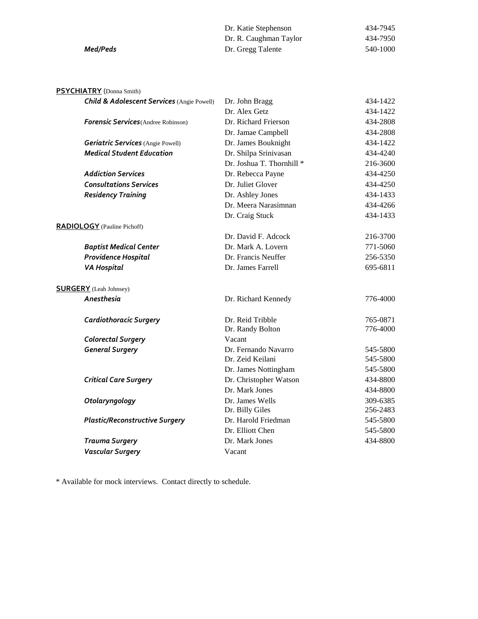|          | Dr. Katie Stephenson   | 434-7945 |
|----------|------------------------|----------|
|          | Dr. R. Caughman Taylor | 434-7950 |
| Med/Peds | Dr. Gregg Talente      | 540-1000 |

## **PSYCHIATRY** (Donna Smith)

| <b>Child &amp; Adolescent Services (Angie Powell)</b> | Dr. John Bragg            | 434-1422 |
|-------------------------------------------------------|---------------------------|----------|
|                                                       | Dr. Alex Getz             | 434-1422 |
| <b>Forensic Services</b> (Andree Robinson)            | Dr. Richard Frierson      | 434-2808 |
|                                                       | Dr. Jamae Campbell        | 434-2808 |
| <b>Geriatric Services</b> (Angie Powell)              | Dr. James Bouknight       | 434-1422 |
| <b>Medical Student Education</b>                      | Dr. Shilpa Srinivasan     | 434-4240 |
|                                                       | Dr. Joshua T. Thornhill * | 216-3600 |
| <b>Addiction Services</b>                             | Dr. Rebecca Payne         | 434-4250 |
| <b>Consultations Services</b>                         | Dr. Juliet Glover         | 434-4250 |
| <b>Residency Training</b>                             | Dr. Ashley Jones          | 434-1433 |
|                                                       | Dr. Meera Narasimnan      | 434-4266 |
|                                                       | Dr. Craig Stuck           | 434-1433 |
| <b>RADIOLOGY</b> (Pauline Pichoff)                    |                           |          |
|                                                       | Dr. David F. Adcock       | 216-3700 |
| <b>Baptist Medical Center</b>                         | Dr. Mark A. Lovern        | 771-5060 |
| Providence Hospital                                   | Dr. Francis Neuffer       | 256-5350 |
| <b>VA Hospital</b>                                    | Dr. James Farrell         | 695-6811 |
| <b>SURGERY</b> (Leah Johnsey)                         |                           |          |
| Anesthesia                                            | Dr. Richard Kennedy       | 776-4000 |
| <b>Cardiothoracic Surgery</b>                         | Dr. Reid Tribble          | 765-0871 |
|                                                       | Dr. Randy Bolton          | 776-4000 |
| <b>Colorectal Surgery</b>                             | Vacant                    |          |
| <b>General Surgery</b>                                | Dr. Fernando Navarro      | 545-5800 |
|                                                       | Dr. Zeid Keilani          | 545-5800 |
|                                                       | Dr. James Nottingham      | 545-5800 |
| <b>Critical Care Surgery</b>                          | Dr. Christopher Watson    | 434-8800 |
|                                                       | Dr. Mark Jones            | 434-8800 |
| Otolaryngology                                        | Dr. James Wells           | 309-6385 |
|                                                       | Dr. Billy Giles           | 256-2483 |
| <b>Plastic/Reconstructive Surgery</b>                 | Dr. Harold Friedman       | 545-5800 |
|                                                       | Dr. Elliott Chen          | 545-5800 |
| <b>Trauma Surgery</b>                                 | Dr. Mark Jones            | 434-8800 |
| <b>Vascular Surgery</b>                               | Vacant                    |          |

\* Available for mock interviews. Contact directly to schedule.